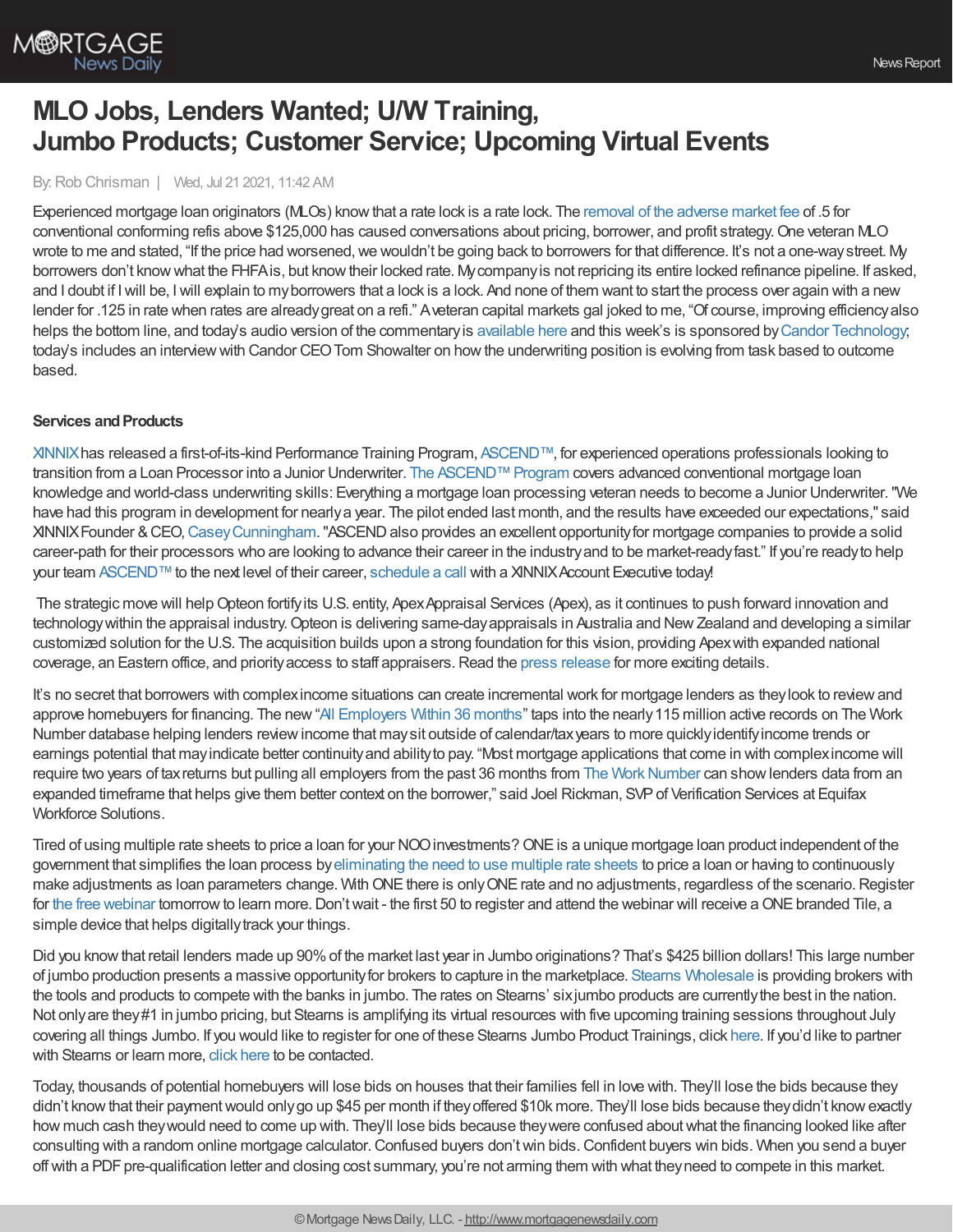

# **MLO Jobs, Lenders Wanted; U/W Training, Jumbo Products; Customer Service; Upcoming Virtual Events**

By:Rob Chrisman | Wed, Jul 21 2021, 11:42 AM

Experienced mortgage loan originators (MLOs) knowthat a rate lock is a rate lock. The removal of the [adverse](https://www.fhfa.gov/Media/PublicAffairs/Pages/FHFA-Eliminates-Adverse-Market-Refinance-Fee.aspx) market fee of .5 for conventional conforming refis above \$125,000 has caused conversations about pricing, borrower, and profit strategy. One veteran MLO wrote to me and stated, "If the price had worsened, we wouldn't be going back to borrowers for that difference. It's not a one-way street. My borrowers don't knowwhat the FHFAis, but knowtheir locked rate. Mycompanyis not repricing its entire locked refinance pipeline. If asked, and I doubt if Iwill be, Iwill explain to myborrowers that a lock is a lock. And none of them want to start the process over again with a new lender for .125 in rate when rates are alreadygreat on a refi." Aveteran capital markets gal joked to me, "Of course, improving efficiencyalso helps the bottom line, and today's audio version of the commentary is [available](https://linktr.ee/dailymortgagenews) here and this week's is sponsored by Candor [Technology](http://info.candortechnology.com/podcast-thought-leadership); today's includes an interview with Candor CEO Tom Showalter on how the underwriting position is evolving from task based to outcome based.

#### **Services and Products**

[XINNIX](https://www.xinnix.com/)has released a first-of-its-kind Performance Training Program, [ASCEND™,](https://bit.ly/2VRzJus) for experienced operations professionals looking to transition from a Loan Processor into a Junior Underwriter. The ASCEND™ Program covers advanced conventional mortgage loan knowledge and world-class underwriting skills: Everything a mortgage loan processing veteran needs to become a Junior Underwriter."We have had this program in development for nearlya year. The pilot ended last month, and the results have exceeded our expectations," said XINNIX Founder & CEO, Casey Cunningham. "ASCEND also provides an excellent opportunity for mortgage companies to provide a solid career-path for their processors who are looking to advance their career in the industryand to be market-readyfast." If you're readyto help your team [ASCEND™](https://bit.ly/2VRzJus) to the next level of their career, [schedule](https://www2.xinnix.com/schedulecall) a call with a XINNIX Account Executive today!

The strategic move will helpOpteon fortifyits U.S. entity, ApexAppraisal Services (Apex), as it continues to push forward innovation and technology within the appraisal industry. Opteon is delivering same-day appraisals in Australia and New Zealand and developing a similar customized solution for the U.S. The acquisition builds upon a strong foundation for this vision, providing Apexwith expanded national coverage, an Eastern office, and priority access to staff appraisers. Read the press [release](https://www.apexone.com/resources/apex-announces-new-additions-to-executive-leadership-team-0) for more exciting details.

It's no secret that borrowers with complexincome situations can create incremental work for mortgage lenders as theylook to reviewand approve homebuyers for financing. The new"All [Employers](https://theworknumber.com/solutions/industries/mortgage-verification/?utm_source=medrel&utm_medium=digital&utm_campaign=ews_twn_2021_pr) Within 36 months" taps into the nearly115 million active records on The Work Number database helping lenders reviewincome that maysit outside of calendar/taxyears to more quicklyidentifyincome trends or earnings potential that mayindicate better continuityand abilityto pay. "Most mortgage applications that come in with complexincome will require two years of tax returns but pulling all employers from the past 36 months from The Work Number can show lenders data from an expanded timeframe that helps give them better context on the borrower," said Joel Rickman, SVPof Verification Services at Equifax Workforce Solutions.

Tired of using multiple rate sheets to price a loan for your NOO investments? ONE is a unique mortgage loan product independent of the government that simplifies the loan process by[eliminating](https://www.interfirst.com/one?utm_source=chrisman&utm_medium=email&utm_campaign=one) the need to use multiple rate sheets to price a loan or having to continuously make adjustments as loan parameters change. With ONE there is only ONE rate and no adjustments, regardless of the scenario. Register for the free [webinar](https://www.interfirst.com/one?utm_source=chrisman&utm_medium=email&utm_campaign=one) tomorrow to learn more. Don't wait - the first 50 to register and attend the webinar will receive a ONE branded Tile, a simple device that helps digitally track your things.

Did you knowthat retail lenders made up 90%of the market last year in Jumbo originations? That's \$425 billion dollars! This large number of jumbo production presents a massive opportunityfor brokers to capture in the marketplace. Stearns [Wholesale](https://www.stearnswholesale.com/) is providing brokers with the tools and products to compete with the banks in jumbo. The rates on Stearns' sixjumbo products are currentlythe best in the nation. Not onlyare they#1 in jumbo pricing, but Stearns is amplifying its virtual resources with five upcoming training sessions throughout July covering all things Jumbo. If you would like to register for one of these Stearns Jumbo Product Trainings, click [here](https://register.gotowebinar.com/rt/4200478981416514831). If you'd like to partner with Stearns or learn more, click [here](https://sites.totalexpert.net/event-registration/new-broker---chrisman-387548) to be contacted.

Today, thousands of potential homebuyers will lose bids on houses that their families fell in love with. They'll lose the bids because they didn't know that their payment would only go up \$45 per month if they offered \$10k more. They'll lose bids because they didn't know exactly how much cash theywould need to come up with. They'll lose bids because theywere confused aboutwhat the financing looked like after consulting with a random online mortgage calculator.Confused buyers don'twin bids.Confident buyers win bids. When you send a buyer off with a PDF pre-qualification letter and closing cost summary, you're not arming them with what they need to compete in this market.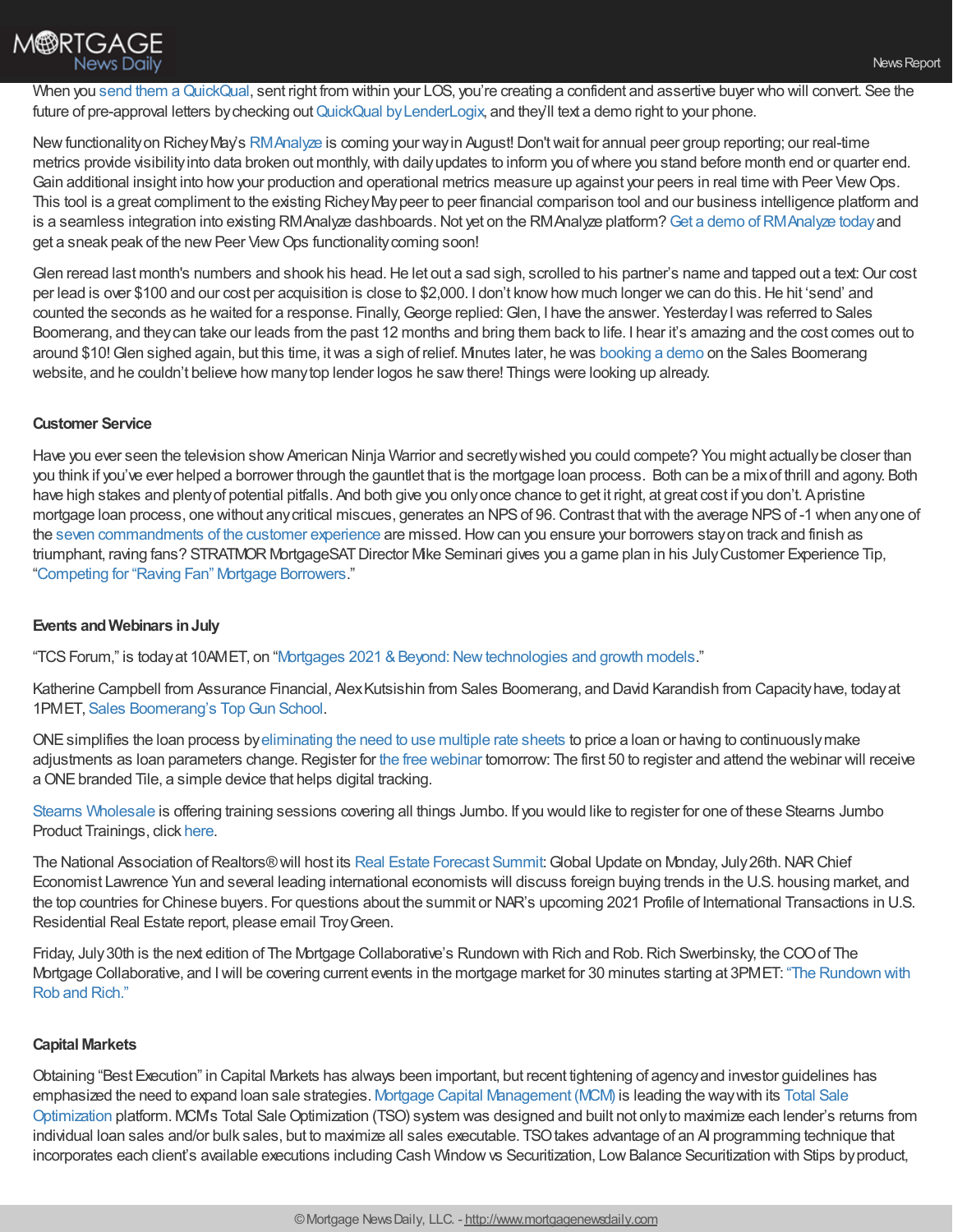

When you send them a QuickQual, sent right from within your LOS, you're creating a confident and assertive buyer who will convert. See the future of pre-approval letters by checking out QuickQual by LenderLogix, and they'll text a demo right to your phone.

New functionality on Richey May's [RMAnalyze](https://richeymay.com/insights/business-intelligence/) is coming your way in August! Don't wait for annual peer group reporting; our real-time metrics provide visibility into data broken out monthly, with daily updates to inform you of where you stand before month end or quarter end. Gain additional insight into how your production and operational metrics measure up against your peers in real time with Peer View Ops. This tool is a great compliment to the existing RicheyMaypeer to peer financial comparison tool and our business intelligence platform and is a seamless integration into existing RMAnalyze dashboards. Not yet on the RMAnalyze platform? Get a demo of RMAnalyze today and get a sneak peak of the new Peer View Ops functionality coming soon!

Glen reread last month's numbers and shook his head. He let out a sad sigh, scrolled to his partner's name and tapped out a text: Our cost per lead is over \$100 and our cost per acquisition is close to \$2,000. I don't know how much longer we can do this. He hit 'send' and counted the seconds as he waited for a response. Finally,George replied:Glen, I have the answer. YesterdayIwas referred to Sales Boomerang, and theycan take our leads from the past 12 months and bring them back to life. I hear it's amazing and the cost comes out to around \$10!Glen sighed again, but this time, itwas a sigh of relief. Minutes later, he was [booking](https://hubs.ly/H0SJpdB0) a demo on the Sales Boomerang website, and he couldn't believe how manytop lender logos he sawthere! Things were looking up already.

## **Customer Service**

Have you ever seen the television show American Ninja Warrior and secretly wished you could compete? You might actually be closer than you think if you've ever helped a borrower through the gauntlet that is the mortgage loan process. Both can be a mixof thrill and agony. Both have high stakes and plentyof potential pitfalls. And both give you onlyonce chance to get it right, at great cost if you don't. Apristine mortgage loan process, one without any critical miscues, generates an NPS of 96. Contrast that with the average NPS of -1 when any one of the seven [commandments](https://www.stratmorgroup.com/insights_article/the-seven-commandments-for-optimizing-the-customer-experience/) of the customer experience are missed.Howcan you ensure your borrowers stayon track and finish as triumphant, raving fans? STRATMOR MortgageSAT Director Mike Seminari gives you a game plan in his July Customer Experience Tip, ["Competing](https://www.stratmorgroup.com/mortgagesat_tips/competing-for-raving-fan-mortgage-borrowers/) for "Raving Fan" Mortgage Borrowers."

## **Events andWebinars inJuly**

"TCS Forum," is today at 10AMET, on "Mortgages 2021 & Beyond: New technologies and growth models."

Katherine Campbell from Assurance Financial, Alex Kutsishin from Sales Boomerang, and David Karandish from Capacity have, today at 1PMET, Sales [Boomerang's](https://us06web.zoom.us/webinar/register/1616246485473/WN_yQNOJppQSZOKrUzocCylTg) Top Gun School.

ONEsimplifies the loan process by[eliminating](https://www.interfirst.com/one?utm_source=chrisman&utm_medium=email&utm_campaign=one) the need to use multiple rate sheets to price a loan or having to continuouslymake adjustments as loan parameters change. Register for the free [webinar](https://www.interfirst.com/one?utm_source=chrisman&utm_medium=email&utm_campaign=one) tomorrow: The first 50 to register and attend the webinar will receive a ONE branded Tile, a simple device that helps digital tracking.

Stearns [Wholesale](https://www.stearnswholesale.com/) is offering training sessions covering all things Jumbo. If you would like to register for one of these Stearns Jumbo Product Trainings, click [here](https://register.gotowebinar.com/rt/4200478981416514831).

The National Association of Realtors®will host its Real Estate [Forecast](https://www.nar.realtor/events/nar-real-estate-forecast-summit) Summit: Global Update on Monday, July 26th. NAR Chief Economist Lawrence Yun and several leading international economists will discuss foreign buying trends in the U.S. housing market, and the top countries for Chinese buyers. For questions about the summit or NAR's upcoming 2021 Profile of International Transactions in U.S. Residential Real Estate report, please email TroyGreen.

Friday, July30th is the next edition of The Mortgage Collaborative's Rundown with Rich and Rob.Rich Swerbinsky, the COOof The Mortgage [Collaborative,](https://mtgcoop.zoom.us/webinar/register/WN_hOUDEqURT9m3mhKCJWRM-A) and Iwill be covering current events in the mortgage market for 30 minutes starting at 3PMET: "The Rundown with Rob and Rich."

#### **Capital Markets**

Obtaining "Best Execution" in Capital Markets has always been important, but recent tightening of agencyand investor guidelines has emphasized the need to expand loan sale strategies. Mortgage Capital [Management](https://mortcap.com/) (MCM) is leading the waywith its Total Sale Optimization platform. MCM's Total [SaleOptimization](https://mortcap.com/Content/blog/TSO%20Presentation.pdf) (TSO) system was designed and built not onlyto maximize each lender's returns from individual loan sales and/or bulk sales, but to maximize all sales executable. TSO takes advantage of an AI programming technique that incorporates each client's available executions including Cash Window vs Securitization, Low Balance Securitization with Stips by product,